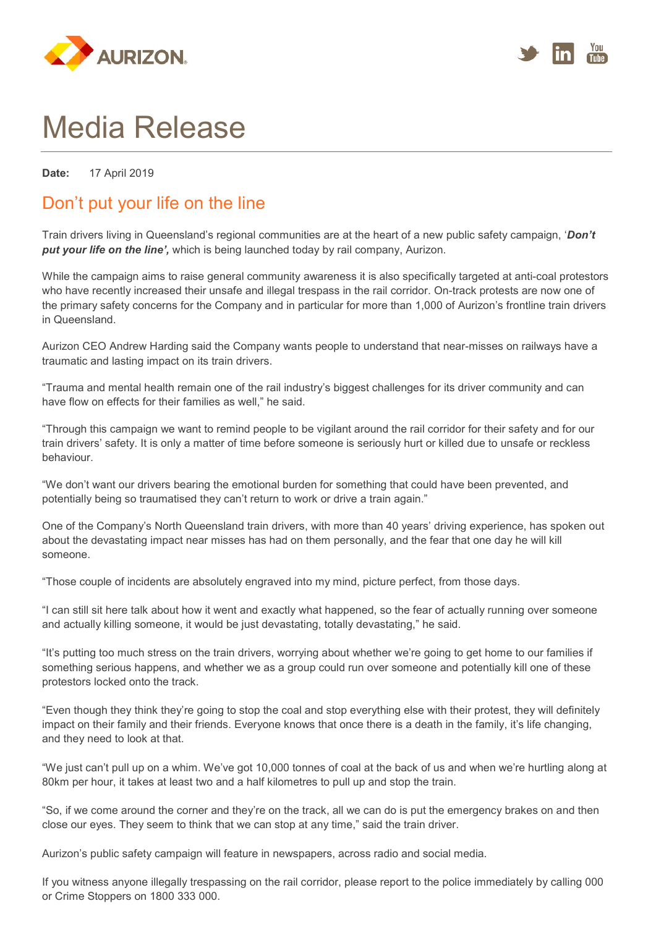



## Media Release

**Date:** 17 April 2019

## Don't put your life on the line

Train drivers living in Queensland's regional communities are at the heart of a new public safety campaign, '*Don't put your life on the line',* which is being launched today by rail company, Aurizon.

While the campaign aims to raise general community awareness it is also specifically targeted at anti-coal protestors who have recently increased their unsafe and illegal trespass in the rail corridor. On-track protests are now one of the primary safety concerns for the Company and in particular for more than 1,000 of Aurizon's frontline train drivers in Queensland.

Aurizon CEO Andrew Harding said the Company wants people to understand that near-misses on railways have a traumatic and lasting impact on its train drivers.

"Trauma and mental health remain one of the rail industry's biggest challenges for its driver community and can have flow on effects for their families as well," he said.

"Through this campaign we want to remind people to be vigilant around the rail corridor for their safety and for our train drivers' safety. It is only a matter of time before someone is seriously hurt or killed due to unsafe or reckless behaviour.

"We don't want our drivers bearing the emotional burden for something that could have been prevented, and potentially being so traumatised they can't return to work or drive a train again."

One of the Company's North Queensland train drivers, with more than 40 years' driving experience, has spoken out about the devastating impact near misses has had on them personally, and the fear that one day he will kill someone.

"Those couple of incidents are absolutely engraved into my mind, picture perfect, from those days.

"I can still sit here talk about how it went and exactly what happened, so the fear of actually running over someone and actually killing someone, it would be just devastating, totally devastating," he said.

"It's putting too much stress on the train drivers, worrying about whether we're going to get home to our families if something serious happens, and whether we as a group could run over someone and potentially kill one of these protestors locked onto the track.

"Even though they think they're going to stop the coal and stop everything else with their protest, they will definitely impact on their family and their friends. Everyone knows that once there is a death in the family, it's life changing, and they need to look at that.

"We just can't pull up on a whim. We've got 10,000 tonnes of coal at the back of us and when we're hurtling along at 80km per hour, it takes at least two and a half kilometres to pull up and stop the train.

"So, if we come around the corner and they're on the track, all we can do is put the emergency brakes on and then close our eyes. They seem to think that we can stop at any time," said the train driver.

Aurizon's public safety campaign will feature in newspapers, across radio and social media.

If you witness anyone illegally trespassing on the rail corridor, please report to the police immediately by calling 000 or Crime Stoppers on 1800 333 000.